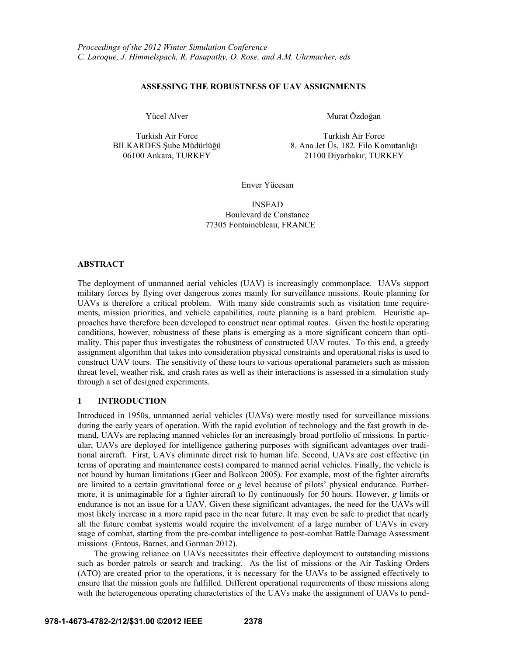# **ASSESSING THE ROBUSTNESS OF UAV ASSIGNMENTS**

Turkish Air Force Turkish Air Force

Yücel Alver Murat Özdoğan

BILKARDES Şube Müdürlüğü 8. Ana Jet Üs, 182. Filo Komutanlığı 06100 Ankara, TURKEY 21100 Diyarbakır, TURKEY

Enver Yücesan

INSEAD Boulevard de Constance 77305 Fontainebleau, FRANCE

## **ABSTRACT**

The deployment of unmanned aerial vehicles (UAV) is increasingly commonplace. UAVs support military forces by flying over dangerous zones mainly for surveillance missions. Route planning for UAVs is therefore a critical problem. With many side constraints such as visitation time requirements, mission priorities, and vehicle capabilities, route planning is a hard problem. Heuristic approaches have therefore been developed to construct near optimal routes. Given the hostile operating conditions, however, robustness of these plans is emerging as a more significant concern than optimality. This paper thus investigates the robustness of constructed UAV routes. To this end, a greedy assignment algorithm that takes into consideration physical constraints and operational risks is used to construct UAV tours. The sensitivity of these tours to various operational parameters such as mission threat level, weather risk, and crash rates as well as their interactions is assessed in a simulation study through a set of designed experiments.

# **1 INTRODUCTION**

Introduced in 1950s, unmanned aerial vehicles (UAVs) were mostly used for surveillance missions during the early years of operation. With the rapid evolution of technology and the fast growth in demand, UAVs are replacing manned vehicles for an increasingly broad portfolio of missions. In particular, UAVs are deployed for intelligence gathering purposes with significant advantages over traditional aircraft. First, UAVs eliminate direct risk to human life. Second, UAVs are cost effective (in terms of operating and maintenance costs) compared to manned aerial vehicles. Finally, the vehicle is not bound by human limitations (Geer and Bolkcon 2005). For example, most of the fighter aircrafts are limited to a certain gravitational force or *g* level because of pilots' physical endurance. Furthermore, it is unimaginable for a fighter aircraft to fly continuously for 50 hours. However, *g* limits or endurance is not an issue for a UAV. Given these significant advantages, the need for the UAVs will most likely increase in a more rapid pace in the near future. It may even be safe to predict that nearly all the future combat systems would require the involvement of a large number of UAVs in every stage of combat, starting from the pre-combat intelligence to post-combat Battle Damage Assessment missions (Entous, Barnes, and Gorman 2012).

The growing reliance on UAVs necessitates their effective deployment to outstanding missions such as border patrols or search and tracking. As the list of missions or the Air Tasking Orders (ATO) are created prior to the operations, it is necessary for the UAVs to be assigned effectively to ensure that the mission goals are fulfilled. Different operational requirements of these missions along with the heterogeneous operating characteristics of the UAVs make the assignment of UAVs to pend-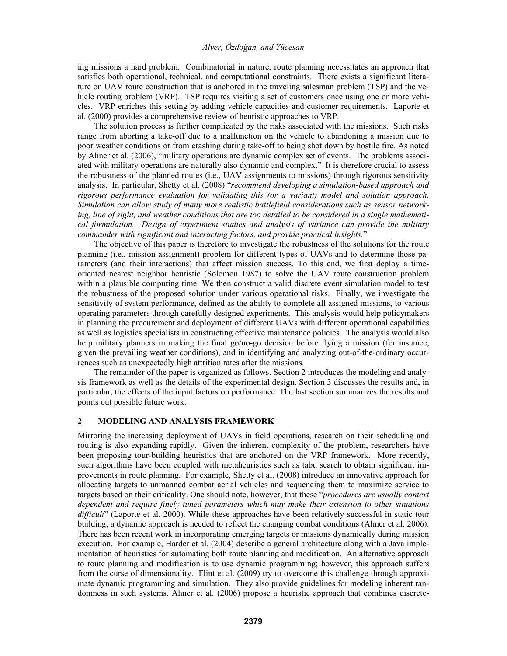ing missions a hard problem. Combinatorial in nature, route planning necessitates an approach that satisfies both operational, technical, and computational constraints. There exists a significant literature on UAV route construction that is anchored in the traveling salesman problem (TSP) and the vehicle routing problem (VRP). TSP requires visiting a set of customers once using one or more vehicles. VRP enriches this setting by adding vehicle capacities and customer requirements. Laporte et al. (2000) provides a comprehensive review of heuristic approaches to VRP.

The solution process is further complicated by the risks associated with the missions. Such risks range from aborting a take-off due to a malfunction on the vehicle to abandoning a mission due to poor weather conditions or from crashing during take-off to being shot down by hostile fire. As noted by Ahner et al. (2006), "military operations are dynamic complex set of events. The problems associated with military operations are naturally also dynamic and complex." It is therefore crucial to assess the robustness of the planned routes (i.e., UAV assignments to missions) through rigorous sensitivity analysis. In particular, Shetty et al. (2008) "*recommend developing a simulation-based approach and rigorous performance evaluation for validating this (or a variant) model and solution approach. Simulation can allow study of many more realistic battlefield considerations such as sensor networking, line of sight, and weather conditions that are too detailed to be considered in a single mathematical formulation. Design of experiment studies and analysis of variance can provide the military commander with significant and interacting factors, and provide practical insights.*"

The objective of this paper is therefore to investigate the robustness of the solutions for the route planning (i.e., mission assignment) problem for different types of UAVs and to determine those parameters (and their interactions) that affect mission success. To this end, we first deploy a timeoriented nearest neighbor heuristic (Solomon 1987) to solve the UAV route construction problem within a plausible computing time. We then construct a valid discrete event simulation model to test the robustness of the proposed solution under various operational risks. Finally, we investigate the sensitivity of system performance, defined as the ability to complete all assigned missions, to various operating parameters through carefully designed experiments. This analysis would help policymakers in planning the procurement and deployment of different UAVs with different operational capabilities as well as logistics specialists in constructing effective maintenance policies. The analysis would also help military planners in making the final go/no-go decision before flying a mission (for instance, given the prevailing weather conditions), and in identifying and analyzing out-of-the-ordinary occurrences such as unexpectedly high attrition rates after the missions.

The remainder of the paper is organized as follows. Section 2 introduces the modeling and analysis framework as well as the details of the experimental design. Section 3 discusses the results and, in particular, the effects of the input factors on performance. The last section summarizes the results and points out possible future work.

## **2 MODELING AND ANALYSIS FRAMEWORK**

Mirroring the increasing deployment of UAVs in field operations, research on their scheduling and routing is also expanding rapidly. Given the inherent complexity of the problem, researchers have been proposing tour-building heuristics that are anchored on the VRP framework. More recently, such algorithms have been coupled with metaheuristics such as tabu search to obtain significant improvements in route planning. For example, Shetty et al. (2008) introduce an innovative approach for allocating targets to unmanned combat aerial vehicles and sequencing them to maximize service to targets based on their criticality. One should note, however, that these "*procedures are usually context dependent and require finely tuned parameters which may make their extension to other situations difficult*" (Laporte et al. 2000). While these approaches have been relatively successful in static tour building, a dynamic approach is needed to reflect the changing combat conditions (Ahner et al. 2006). There has been recent work in incorporating emerging targets or missions dynamically during mission execution. For example, Harder et al. (2004) describe a general architecture along with a Java implementation of heuristics for automating both route planning and modification. An alternative approach to route planning and modification is to use dynamic programming; however, this approach suffers from the curse of dimensionality. Flint et al. (2009) try to overcome this challenge through approximate dynamic programming and simulation. They also provide guidelines for modeling inherent randomness in such systems. Ahner et al. (2006) propose a heuristic approach that combines discrete-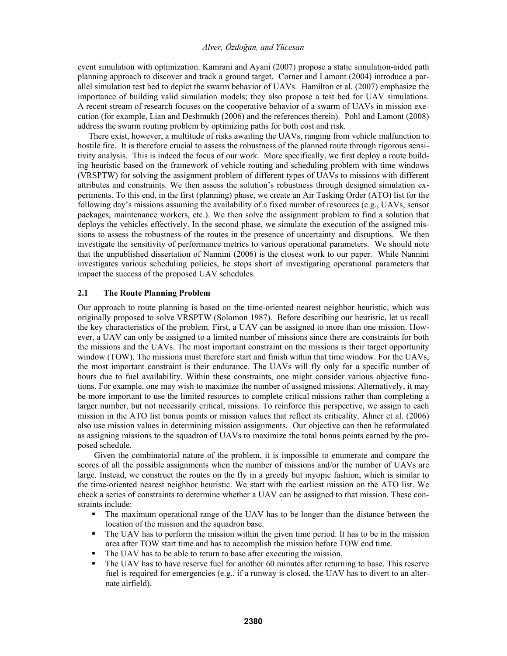event simulation with optimization. Kamrani and Ayani (2007) propose a static simulation-aided path planning approach to discover and track a ground target. Corner and Lamont (2004) introduce a parallel simulation test bed to depict the swarm behavior of UAVs. Hamilton et al. (2007) emphasize the importance of building valid simulation models; they also propose a test bed for UAV simulations. A recent stream of research focuses on the cooperative behavior of a swarm of UAVs in mission execution (for example, Lian and Deshmukh (2006) and the references therein). Pohl and Lamont (2008) address the swarm routing problem by optimizing paths for both cost and risk.

There exist, however, a multitude of risks awaiting the UAVs, ranging from vehicle malfunction to hostile fire. It is therefore crucial to assess the robustness of the planned route through rigorous sensitivity analysis. This is indeed the focus of our work. More specifically, we first deploy a route building heuristic based on the framework of vehicle routing and scheduling problem with time windows (VRSPTW) for solving the assignment problem of different types of UAVs to missions with different attributes and constraints. We then assess the solution's robustness through designed simulation experiments. To this end, in the first (planning) phase, we create an Air Tasking Order (ATO) list for the following day's missions assuming the availability of a fixed number of resources (e.g., UAVs, sensor packages, maintenance workers, etc.). We then solve the assignment problem to find a solution that deploys the vehicles effectively. In the second phase, we simulate the execution of the assigned missions to assess the robustness of the routes in the presence of uncertainty and disruptions. We then investigate the sensitivity of performance metrics to various operational parameters. We should note that the unpublished dissertation of Nannini (2006) is the closest work to our paper. While Nannini investigates various scheduling policies, he stops short of investigating operational parameters that impact the success of the proposed UAV schedules.

### **2.1 The Route Planning Problem**

Our approach to route planning is based on the time-oriented nearest neighbor heuristic, which was originally proposed to solve VRSPTW (Solomon 1987). Before describing our heuristic, let us recall the key characteristics of the problem. First, a UAV can be assigned to more than one mission. However, a UAV can only be assigned to a limited number of missions since there are constraints for both the missions and the UAVs. The most important constraint on the missions is their target opportunity window (TOW). The missions must therefore start and finish within that time window. For the UAVs, the most important constraint is their endurance. The UAVs will fly only for a specific number of hours due to fuel availability. Within these constraints, one might consider various objective functions. For example, one may wish to maximize the number of assigned missions. Alternatively, it may be more important to use the limited resources to complete critical missions rather than completing a larger number, but not necessarily critical, missions. To reinforce this perspective, we assign to each mission in the ATO list bonus points or mission values that reflect its criticality. Ahner et al. (2006) also use mission values in determining mission assignments. Our objective can then be reformulated as assigning missions to the squadron of UAVs to maximize the total bonus points earned by the proposed schedule.

Given the combinatorial nature of the problem, it is impossible to enumerate and compare the scores of all the possible assignments when the number of missions and/or the number of UAVs are large. Instead, we construct the routes on the fly in a greedy but myopic fashion, which is similar to the time-oriented nearest neighbor heuristic. We start with the earliest mission on the ATO list. We check a series of constraints to determine whether a UAV can be assigned to that mission. These constraints include:

- The maximum operational range of the UAV has to be longer than the distance between the location of the mission and the squadron base.
- The UAV has to perform the mission within the given time period. It has to be in the mission area after TOW start time and has to accomplish the mission before TOW end time.
- The UAV has to be able to return to base after executing the mission.
- The UAV has to have reserve fuel for another 60 minutes after returning to base. This reserve fuel is required for emergencies (e.g., if a runway is closed, the UAV has to divert to an alternate airfield).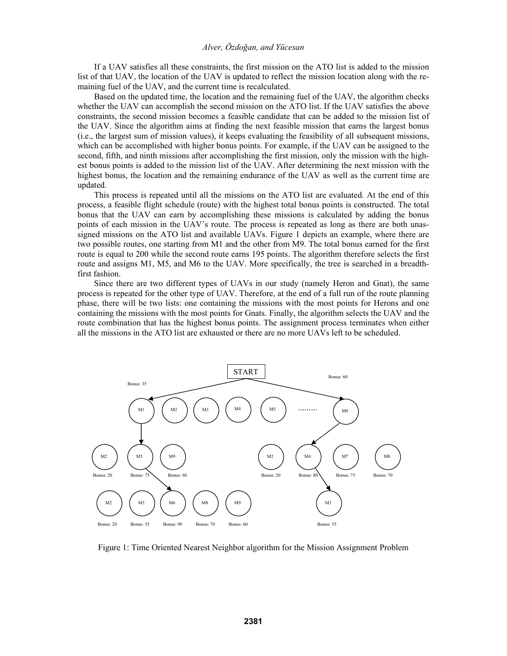If a UAV satisfies all these constraints, the first mission on the ATO list is added to the mission list of that UAV, the location of the UAV is updated to reflect the mission location along with the remaining fuel of the UAV, and the current time is recalculated.

Based on the updated time, the location and the remaining fuel of the UAV, the algorithm checks whether the UAV can accomplish the second mission on the ATO list. If the UAV satisfies the above constraints, the second mission becomes a feasible candidate that can be added to the mission list of the UAV. Since the algorithm aims at finding the next feasible mission that earns the largest bonus (i.e., the largest sum of mission values), it keeps evaluating the feasibility of all subsequent missions, which can be accomplished with higher bonus points. For example, if the UAV can be assigned to the second, fifth, and ninth missions after accomplishing the first mission, only the mission with the highest bonus points is added to the mission list of the UAV. After determining the next mission with the highest bonus, the location and the remaining endurance of the UAV as well as the current time are updated.

This process is repeated until all the missions on the ATO list are evaluated. At the end of this process, a feasible flight schedule (route) with the highest total bonus points is constructed. The total bonus that the UAV can earn by accomplishing these missions is calculated by adding the bonus points of each mission in the UAV's route. The process is repeated as long as there are both unassigned missions on the ATO list and available UAVs. Figure 1 depicts an example, where there are two possible routes, one starting from M1 and the other from M9. The total bonus earned for the first route is equal to 200 while the second route earns 195 points. The algorithm therefore selects the first route and assigns M1, M5, and M6 to the UAV. More specifically, the tree is searched in a breadthfirst fashion.

Since there are two different types of UAVs in our study (namely Heron and Gnat), the same process is repeated for the other type of UAV. Therefore, at the end of a full run of the route planning phase, there will be two lists: one containing the missions with the most points for Herons and one containing the missions with the most points for Gnats. Finally, the algorithm selects the UAV and the route combination that has the highest bonus points. The assignment process terminates when either all the missions in the ATO list are exhausted or there are no more UAVs left to be scheduled.



Figure 1: Time Oriented Nearest Neighbor algorithm for the Mission Assignment Problem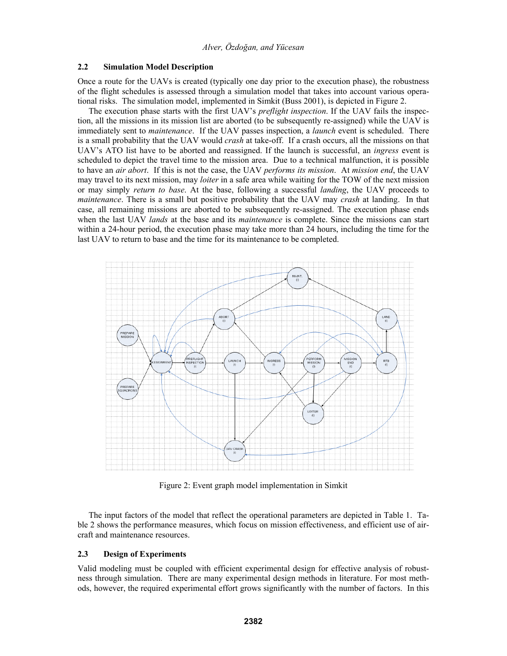## **2.2 Simulation Model Description**

Once a route for the UAVs is created (typically one day prior to the execution phase), the robustness of the flight schedules is assessed through a simulation model that takes into account various operational risks. The simulation model, implemented in Simkit (Buss 2001), is depicted in Figure 2.

The execution phase starts with the first UAV's *preflight inspection*. If the UAV fails the inspection, all the missions in its mission list are aborted (to be subsequently re-assigned) while the UAV is immediately sent to *maintenance*. If the UAV passes inspection, a *launch* event is scheduled. There is a small probability that the UAV would *crash* at take-off. If a crash occurs, all the missions on that UAV's ATO list have to be aborted and reassigned. If the launch is successful, an *ingress* event is scheduled to depict the travel time to the mission area. Due to a technical malfunction, it is possible to have an *air abort*. If this is not the case, the UAV *performs its mission*. At *mission end*, the UAV may travel to its next mission, may *loiter* in a safe area while waiting for the TOW of the next mission or may simply *return to base*. At the base, following a successful *landing*, the UAV proceeds to *maintenance*. There is a small but positive probability that the UAV may *crash* at landing. In that case, all remaining missions are aborted to be subsequently re-assigned. The execution phase ends when the last UAV *lands* at the base and its *maintenance* is complete. Since the missions can start within a 24-hour period, the execution phase may take more than 24 hours, including the time for the last UAV to return to base and the time for its maintenance to be completed.



Figure 2: Event graph model implementation in Simkit

The input factors of the model that reflect the operational parameters are depicted in Table 1. Table 2 shows the performance measures, which focus on mission effectiveness, and efficient use of aircraft and maintenance resources.

## **2.3 Design of Experiments**

Valid modeling must be coupled with efficient experimental design for effective analysis of robustness through simulation. There are many experimental design methods in literature. For most methods, however, the required experimental effort grows significantly with the number of factors. In this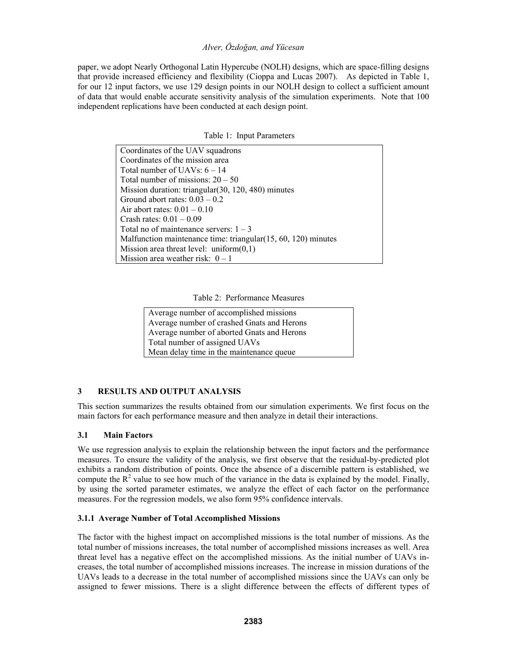paper, we adopt Nearly Orthogonal Latin Hypercube (NOLH) designs, which are space-filling designs that provide increased efficiency and flexibility (Cioppa and Lucas 2007). As depicted in Table 1, for our 12 input factors, we use 129 design points in our NOLH design to collect a sufficient amount of data that would enable accurate sensitivity analysis of the simulation experiments. Note that 100 independent replications have been conducted at each design point.

Table 1: Input Parameters

Table 2: Performance Measures

Average number of accomplished missions Average number of crashed Gnats and Herons Average number of aborted Gnats and Herons Total number of assigned UAVs Mean delay time in the maintenance queue

## **3 RESULTS AND OUTPUT ANALYSIS**

This section summarizes the results obtained from our simulation experiments. We first focus on the main factors for each performance measure and then analyze in detail their interactions.

### **3.1 Main Factors**

We use regression analysis to explain the relationship between the input factors and the performance measures. To ensure the validity of the analysis, we first observe that the residual-by-predicted plot exhibits a random distribution of points. Once the absence of a discernible pattern is established, we compute the  $R^2$  value to see how much of the variance in the data is explained by the model. Finally, by using the sorted parameter estimates, we analyze the effect of each factor on the performance measures. For the regression models, we also form 95% confidence intervals.

## **3.1.1 Average Number of Total Accomplished Missions**

The factor with the highest impact on accomplished missions is the total number of missions. As the total number of missions increases, the total number of accomplished missions increases as well. Area threat level has a negative effect on the accomplished missions. As the initial number of UAVs increases, the total number of accomplished missions increases. The increase in mission durations of the UAVs leads to a decrease in the total number of accomplished missions since the UAVs can only be assigned to fewer missions. There is a slight difference between the effects of different types of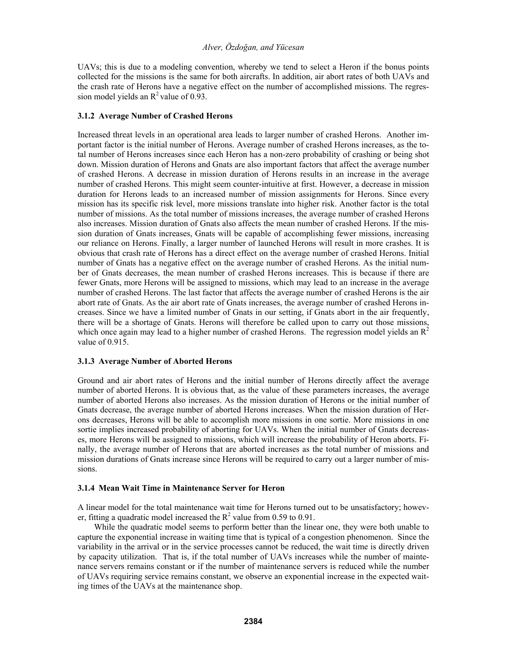UAVs; this is due to a modeling convention, whereby we tend to select a Heron if the bonus points collected for the missions is the same for both aircrafts. In addition, air abort rates of both UAVs and the crash rate of Herons have a negative effect on the number of accomplished missions. The regression model yields an  $R^2$  value of 0.93.

## **3.1.2 Average Number of Crashed Herons**

Increased threat levels in an operational area leads to larger number of crashed Herons. Another important factor is the initial number of Herons. Average number of crashed Herons increases, as the total number of Herons increases since each Heron has a non-zero probability of crashing or being shot down. Mission duration of Herons and Gnats are also important factors that affect the average number of crashed Herons. A decrease in mission duration of Herons results in an increase in the average number of crashed Herons. This might seem counter-intuitive at first. However, a decrease in mission duration for Herons leads to an increased number of mission assignments for Herons. Since every mission has its specific risk level, more missions translate into higher risk. Another factor is the total number of missions. As the total number of missions increases, the average number of crashed Herons also increases. Mission duration of Gnats also affects the mean number of crashed Herons. If the mission duration of Gnats increases, Gnats will be capable of accomplishing fewer missions, increasing our reliance on Herons. Finally, a larger number of launched Herons will result in more crashes. It is obvious that crash rate of Herons has a direct effect on the average number of crashed Herons. Initial number of Gnats has a negative effect on the average number of crashed Herons. As the initial number of Gnats decreases, the mean number of crashed Herons increases. This is because if there are fewer Gnats, more Herons will be assigned to missions, which may lead to an increase in the average number of crashed Herons. The last factor that affects the average number of crashed Herons is the air abort rate of Gnats. As the air abort rate of Gnats increases, the average number of crashed Herons increases. Since we have a limited number of Gnats in our setting, if Gnats abort in the air frequently, there will be a shortage of Gnats. Herons will therefore be called upon to carry out those missions, which once again may lead to a higher number of crashed Herons. The regression model yields an  $R^2$ value of 0.915.

## **3.1.3 Average Number of Aborted Herons**

Ground and air abort rates of Herons and the initial number of Herons directly affect the average number of aborted Herons. It is obvious that, as the value of these parameters increases, the average number of aborted Herons also increases. As the mission duration of Herons or the initial number of Gnats decrease, the average number of aborted Herons increases. When the mission duration of Herons decreases, Herons will be able to accomplish more missions in one sortie. More missions in one sortie implies increased probability of aborting for UAVs. When the initial number of Gnats decreases, more Herons will be assigned to missions, which will increase the probability of Heron aborts. Finally, the average number of Herons that are aborted increases as the total number of missions and mission durations of Gnats increase since Herons will be required to carry out a larger number of missions.

## **3.1.4 Mean Wait Time in Maintenance Server for Heron**

A linear model for the total maintenance wait time for Herons turned out to be unsatisfactory; however, fitting a quadratic model increased the  $R^2$  value from 0.59 to 0.91.

While the quadratic model seems to perform better than the linear one, they were both unable to capture the exponential increase in waiting time that is typical of a congestion phenomenon. Since the variability in the arrival or in the service processes cannot be reduced, the wait time is directly driven by capacity utilization. That is, if the total number of UAVs increases while the number of maintenance servers remains constant or if the number of maintenance servers is reduced while the number of UAVs requiring service remains constant, we observe an exponential increase in the expected waiting times of the UAVs at the maintenance shop.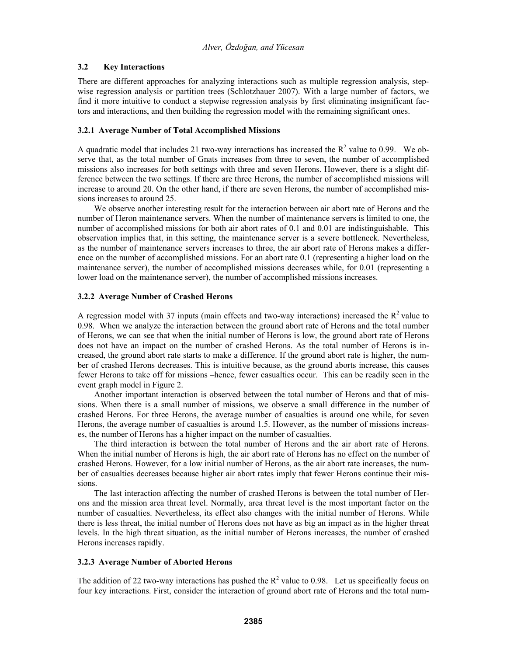## **3.2 Key Interactions**

There are different approaches for analyzing interactions such as multiple regression analysis, stepwise regression analysis or partition trees (Schlotzhauer 2007). With a large number of factors, we find it more intuitive to conduct a stepwise regression analysis by first eliminating insignificant factors and interactions, and then building the regression model with the remaining significant ones.

## **3.2.1 Average Number of Total Accomplished Missions**

A quadratic model that includes 21 two-way interactions has increased the  $\mathbb{R}^2$  value to 0.99. We observe that, as the total number of Gnats increases from three to seven, the number of accomplished missions also increases for both settings with three and seven Herons. However, there is a slight difference between the two settings. If there are three Herons, the number of accomplished missions will increase to around 20. On the other hand, if there are seven Herons, the number of accomplished missions increases to around 25.

We observe another interesting result for the interaction between air abort rate of Herons and the number of Heron maintenance servers. When the number of maintenance servers is limited to one, the number of accomplished missions for both air abort rates of 0.1 and 0.01 are indistinguishable. This observation implies that, in this setting, the maintenance server is a severe bottleneck. Nevertheless, as the number of maintenance servers increases to three, the air abort rate of Herons makes a difference on the number of accomplished missions. For an abort rate 0.1 (representing a higher load on the maintenance server), the number of accomplished missions decreases while, for 0.01 (representing a lower load on the maintenance server), the number of accomplished missions increases.

### **3.2.2 Average Number of Crashed Herons**

A regression model with 37 inputs (main effects and two-way interactions) increased the  $R^2$  value to 0.98. When we analyze the interaction between the ground abort rate of Herons and the total number of Herons, we can see that when the initial number of Herons is low, the ground abort rate of Herons does not have an impact on the number of crashed Herons. As the total number of Herons is increased, the ground abort rate starts to make a difference. If the ground abort rate is higher, the number of crashed Herons decreases. This is intuitive because, as the ground aborts increase, this causes fewer Herons to take off for missions –hence, fewer casualties occur. This can be readily seen in the event graph model in Figure 2.

Another important interaction is observed between the total number of Herons and that of missions. When there is a small number of missions, we observe a small difference in the number of crashed Herons. For three Herons, the average number of casualties is around one while, for seven Herons, the average number of casualties is around 1.5. However, as the number of missions increases, the number of Herons has a higher impact on the number of casualties.

The third interaction is between the total number of Herons and the air abort rate of Herons. When the initial number of Herons is high, the air abort rate of Herons has no effect on the number of crashed Herons. However, for a low initial number of Herons, as the air abort rate increases, the number of casualties decreases because higher air abort rates imply that fewer Herons continue their missions.

The last interaction affecting the number of crashed Herons is between the total number of Herons and the mission area threat level. Normally, area threat level is the most important factor on the number of casualties. Nevertheless, its effect also changes with the initial number of Herons. While there is less threat, the initial number of Herons does not have as big an impact as in the higher threat levels. In the high threat situation, as the initial number of Herons increases, the number of crashed Herons increases rapidly.

### **3.2.3 Average Number of Aborted Herons**

The addition of 22 two-way interactions has pushed the  $R^2$  value to 0.98. Let us specifically focus on four key interactions. First, consider the interaction of ground abort rate of Herons and the total num-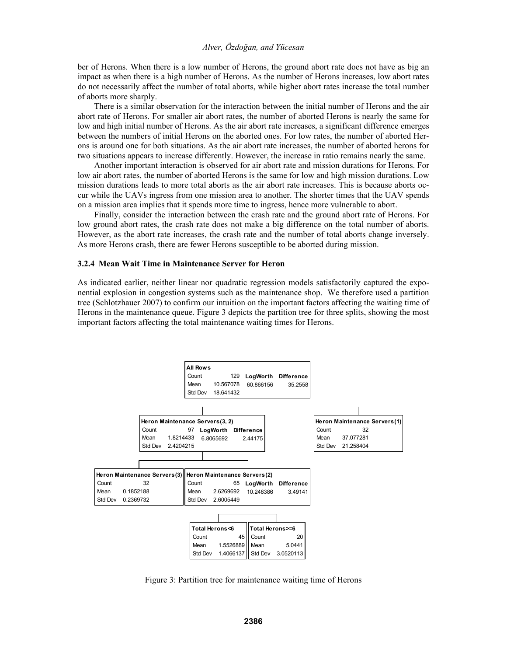ber of Herons. When there is a low number of Herons, the ground abort rate does not have as big an impact as when there is a high number of Herons. As the number of Herons increases, low abort rates do not necessarily affect the number of total aborts, while higher abort rates increase the total number of aborts more sharply.

There is a similar observation for the interaction between the initial number of Herons and the air abort rate of Herons. For smaller air abort rates, the number of aborted Herons is nearly the same for low and high initial number of Herons. As the air abort rate increases, a significant difference emerges between the numbers of initial Herons on the aborted ones. For low rates, the number of aborted Herons is around one for both situations. As the air abort rate increases, the number of aborted herons for two situations appears to increase differently. However, the increase in ratio remains nearly the same.

Another important interaction is observed for air abort rate and mission durations for Herons. For low air abort rates, the number of aborted Herons is the same for low and high mission durations. Low mission durations leads to more total aborts as the air abort rate increases. This is because aborts occur while the UAVs ingress from one mission area to another. The shorter times that the UAV spends on a mission area implies that it spends more time to ingress, hence more vulnerable to abort.

Finally, consider the interaction between the crash rate and the ground abort rate of Herons. For low ground abort rates, the crash rate does not make a big difference on the total number of aborts. However, as the abort rate increases, the crash rate and the number of total aborts change inversely. As more Herons crash, there are fewer Herons susceptible to be aborted during mission.

### **3.2.4 Mean Wait Time in Maintenance Server for Heron**

As indicated earlier, neither linear nor quadratic regression models satisfactorily captured the exponential explosion in congestion systems such as the maintenance shop. We therefore used a partition tree (Schlotzhauer 2007) to confirm our intuition on the important factors affecting the waiting time of Herons in the maintenance queue. Figure 3 depicts the partition tree for three splits, showing the most important factors affecting the total maintenance waiting times for Herons.



Figure 3: Partition tree for maintenance waiting time of Herons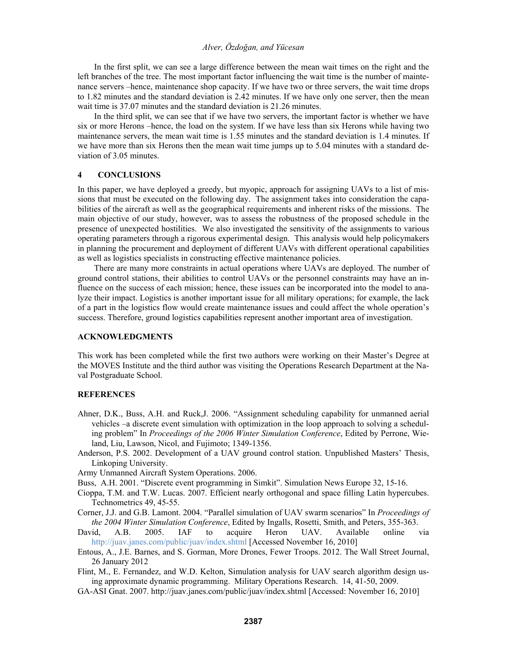In the first split, we can see a large difference between the mean wait times on the right and the left branches of the tree. The most important factor influencing the wait time is the number of maintenance servers –hence, maintenance shop capacity. If we have two or three servers, the wait time drops to 1.82 minutes and the standard deviation is 2.42 minutes. If we have only one server, then the mean wait time is 37.07 minutes and the standard deviation is 21.26 minutes.

In the third split, we can see that if we have two servers, the important factor is whether we have six or more Herons –hence, the load on the system. If we have less than six Herons while having two maintenance servers, the mean wait time is 1.55 minutes and the standard deviation is 1.4 minutes. If we have more than six Herons then the mean wait time jumps up to 5.04 minutes with a standard deviation of 3.05 minutes.

## **4 CONCLUSIONS**

In this paper, we have deployed a greedy, but myopic, approach for assigning UAVs to a list of missions that must be executed on the following day. The assignment takes into consideration the capabilities of the aircraft as well as the geographical requirements and inherent risks of the missions. The main objective of our study, however, was to assess the robustness of the proposed schedule in the presence of unexpected hostilities. We also investigated the sensitivity of the assignments to various operating parameters through a rigorous experimental design. This analysis would help policymakers in planning the procurement and deployment of different UAVs with different operational capabilities as well as logistics specialists in constructing effective maintenance policies.

There are many more constraints in actual operations where UAVs are deployed. The number of ground control stations, their abilities to control UAVs or the personnel constraints may have an influence on the success of each mission; hence, these issues can be incorporated into the model to analyze their impact. Logistics is another important issue for all military operations; for example, the lack of a part in the logistics flow would create maintenance issues and could affect the whole operation's success. Therefore, ground logistics capabilities represent another important area of investigation.

## **ACKNOWLEDGMENTS**

This work has been completed while the first two authors were working on their Master's Degree at the MOVES Institute and the third author was visiting the Operations Research Department at the Naval Postgraduate School.

## **REFERENCES**

- Ahner, D.K., Buss, A.H. and Ruck,J. 2006. "Assignment scheduling capability for unmanned aerial vehicles –a discrete event simulation with optimization in the loop approach to solving a scheduling problem" In *Proceedings of the 2006 Winter Simulation Conference*, Edited by Perrone, Wieland, Liu, Lawson, Nicol, and Fujimoto; 1349-1356.
- Anderson, P.S. 2002. Development of a UAV ground control station. Unpublished Masters' Thesis, Linkoping University.
- Army Unmanned Aircraft System Operations. 2006.
- Buss, A.H. 2001. "Discrete event programming in Simkit". Simulation News Europe 32, 15-16.
- Cioppa, T.M. and T.W. Lucas. 2007. Efficient nearly orthogonal and space filling Latin hypercubes. Technometrics 49, 45-55.
- Corner, J.J. and G.B. Lamont. 2004. "Parallel simulation of UAV swarm scenarios" In *Proceedings of the 2004 Winter Simulation Conference*, Edited by Ingalls, Rosetti, Smith, and Peters, 355-363.
- David, A.B. 2005. IAF to acquire Heron UAV. Available online via http://juav.janes.com/public/juav/index.shtml [Accessed November 16, 2010]
- Entous, A., J.E. Barnes, and S. Gorman, More Drones, Fewer Troops. 2012. The Wall Street Journal, 26 January 2012
- Flint, M., E. Fernandez, and W.D. Kelton, Simulation analysis for UAV search algorithm design using approximate dynamic programming. Military Operations Research. 14, 41-50, 2009.
- GA-ASI Gnat. 2007. http://juav.janes.com/public/juav/index.shtml [Accessed: November 16, 2010]